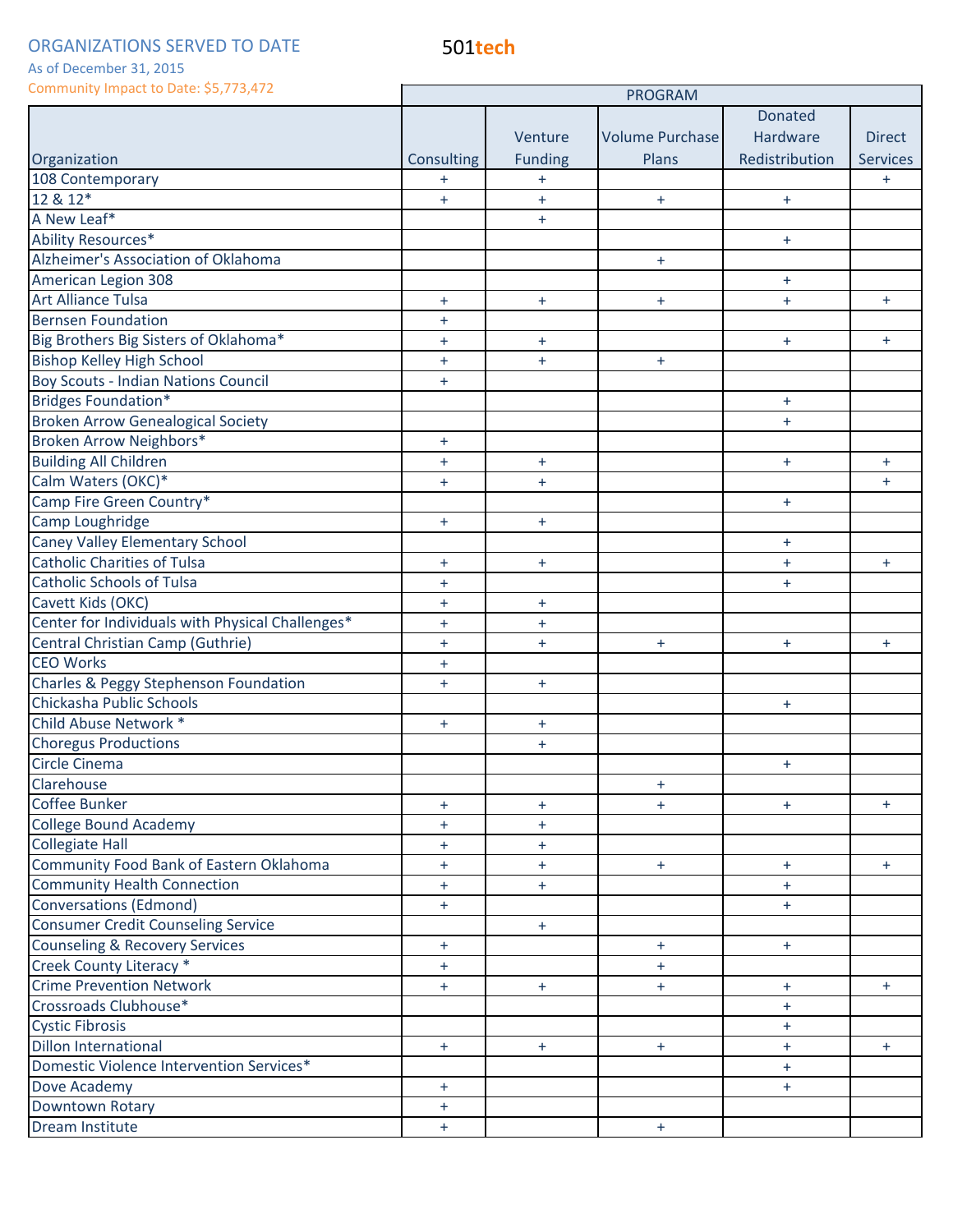501**tech**

As of December 31, 2015

| Community impact to Date: \$5,773,472            | <b>PROGRAM</b> |                |                        |                |                 |
|--------------------------------------------------|----------------|----------------|------------------------|----------------|-----------------|
|                                                  |                |                |                        | <b>Donated</b> |                 |
|                                                  |                | Venture        | <b>Volume Purchase</b> | Hardware       | <b>Direct</b>   |
| Organization                                     | Consulting     | <b>Funding</b> | Plans                  | Redistribution | <b>Services</b> |
| 108 Contemporary                                 | $+$            | $\ddot{}$      |                        |                | $+$             |
| 12 & 12*                                         | $\ddot{}$      | $\ddot{}$      | $+$                    | $+$            |                 |
| A New Leaf*                                      |                | $\ddot{}$      |                        |                |                 |
| Ability Resources*                               |                |                |                        | $+$            |                 |
| Alzheimer's Association of Oklahoma              |                |                | $+$                    |                |                 |
| American Legion 308                              |                |                |                        | $+$            |                 |
| <b>Art Alliance Tulsa</b>                        | $\ddot{}$      | $+$            | $+$                    | $+$            | $+$             |
| <b>Bernsen Foundation</b>                        | $+$            |                |                        |                |                 |
| Big Brothers Big Sisters of Oklahoma*            | $\ddot{}$      | $\ddot{}$      |                        | $+$            | $+$             |
| <b>Bishop Kelley High School</b>                 | $\ddot{}$      | $+$            | $+$                    |                |                 |
| <b>Boy Scouts - Indian Nations Council</b>       | $+$            |                |                        |                |                 |
| <b>Bridges Foundation*</b>                       |                |                |                        | $+$            |                 |
| <b>Broken Arrow Genealogical Society</b>         |                |                |                        | $+$            |                 |
| Broken Arrow Neighbors*                          | $+$            |                |                        |                |                 |
| <b>Building All Children</b>                     | $\ddot{}$      | $\ddot{}$      |                        | $+$            | $+$             |
| Calm Waters (OKC)*                               | $\ddot{}$      | $\ddot{}$      |                        |                | $+$             |
| Camp Fire Green Country*                         |                |                |                        | $+$            |                 |
| Camp Loughridge                                  | $+$            | $+$            |                        |                |                 |
| <b>Caney Valley Elementary School</b>            |                |                |                        | $+$            |                 |
| <b>Catholic Charities of Tulsa</b>               | $+$            | $+$            |                        | $+$            | $+$             |
| <b>Catholic Schools of Tulsa</b>                 | $+$            |                |                        | $+$            |                 |
| Cavett Kids (OKC)                                | $\ddot{}$      | $\ddot{}$      |                        |                |                 |
| Center for Individuals with Physical Challenges* | $\ddot{}$      | $\ddot{}$      |                        |                |                 |
| Central Christian Camp (Guthrie)                 | $+$            | $\ddot{}$      | $+$                    | $+$            | $+$             |
| <b>CEO Works</b>                                 | $+$            |                |                        |                |                 |
| Charles & Peggy Stephenson Foundation            | $+$            | $\ddot{}$      |                        |                |                 |
| Chickasha Public Schools                         |                |                |                        | $+$            |                 |
| Child Abuse Network *                            | $+$            | $+$            |                        |                |                 |
| <b>Choregus Productions</b>                      |                | $+$            |                        |                |                 |
| Circle Cinema                                    |                |                |                        | $\ddot{}$      |                 |
| Clarehouse                                       |                |                | $+$                    |                |                 |
| Coffee Bunker                                    | $+$            | $\ddot{}$      | $+$                    | $+$            | $+$             |
| <b>College Bound Academy</b>                     | $+$            | $\ddot{}$      |                        |                |                 |
| <b>Collegiate Hall</b>                           | $\ddot{}$      | $\ddot{}$      |                        |                |                 |
| Community Food Bank of Eastern Oklahoma          | $\pm$          | $\pm$          | $+$                    | $+$            | $+$             |
| <b>Community Health Connection</b>               | $+$            | $+$            |                        | $+$            |                 |
| <b>Conversations (Edmond)</b>                    | $+$            |                |                        | $+$            |                 |
| <b>Consumer Credit Counseling Service</b>        |                | $+$            |                        |                |                 |
| <b>Counseling &amp; Recovery Services</b>        | $\ddot{}$      |                | $+$                    | $+$            |                 |
| Creek County Literacy *                          | $+$            |                | $\ddot{}$              |                |                 |
| <b>Crime Prevention Network</b>                  | $+$            | $\pm$          | $+$                    | $+$            | $+$             |
| Crossroads Clubhouse*                            |                |                |                        | $+$            |                 |
| <b>Cystic Fibrosis</b>                           |                |                |                        | $+$            |                 |
| <b>Dillon International</b>                      | $+$            | $+$            | $+$                    | $+$            | $+$             |
| Domestic Violence Intervention Services*         |                |                |                        | $+$            |                 |
| Dove Academy                                     | $+$            |                |                        | $+$            |                 |
| Downtown Rotary                                  | $+$            |                |                        |                |                 |
| Dream Institute                                  | $+$            |                | $+$                    |                |                 |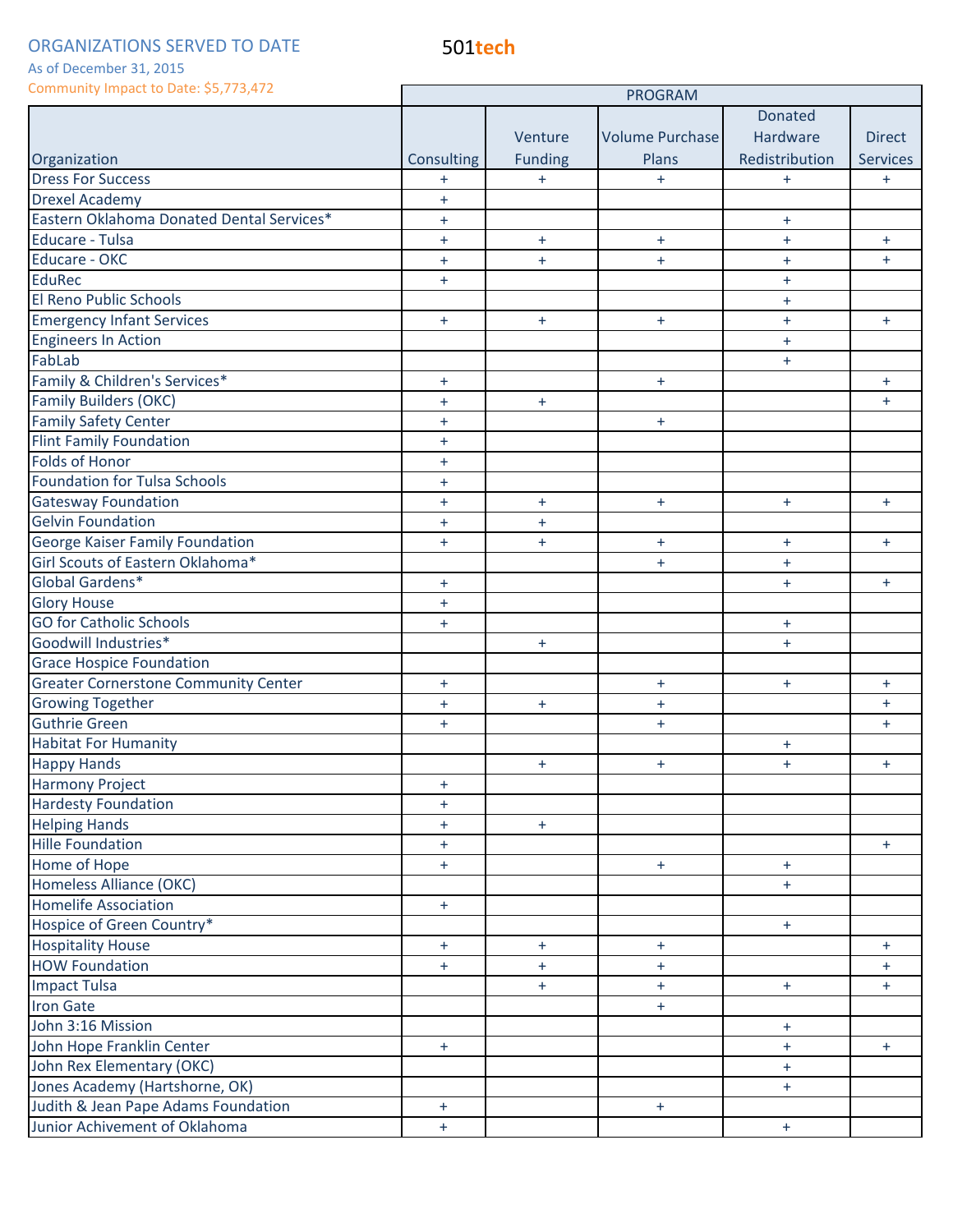As of December 31, 2015

| <b>Donated</b><br>Hardware<br>Volume Purchase<br><b>Direct</b><br>Venture<br><b>Funding</b><br>Redistribution<br><b>Services</b><br>Organization<br>Consulting<br>Plans<br><b>Dress For Success</b><br>$+$<br>$+$<br>$\ddot{}$<br>$+$<br>$\ddot{}$<br><b>Drexel Academy</b><br>$\ddot{}$<br>Eastern Oklahoma Donated Dental Services*<br>$\ddot{}$<br>$\ddot{}$<br>Educare - Tulsa<br>$+$<br>$+$<br>$\pm$<br>$+$<br>$+$<br>Educare - OKC<br>$+$<br>$\ddot{}$<br>$\ddot{}$<br>$\ddot{}$<br>$+$<br><b>EduRec</b><br>$\ddot{}$<br>$+$<br>El Reno Public Schools<br>$+$<br><b>Emergency Infant Services</b><br>$\ddot{}$<br>$+$<br>$\ddot{}$<br>$+$<br>$+$<br><b>Engineers In Action</b><br>$+$<br>FabLab<br>$+$<br>Family & Children's Services*<br>$+$<br>$\ddot{}$<br>$+$<br><b>Family Builders (OKC)</b><br>$+$<br>$+$<br>$\ddot{}$<br><b>Family Safety Center</b><br>$+$<br>$+$<br><b>Flint Family Foundation</b><br>$\ddot{}$<br><b>Folds of Honor</b><br>$\ddot{}$<br><b>Foundation for Tulsa Schools</b><br>$+$<br><b>Gatesway Foundation</b><br>$+$<br>$\ddot{}$<br>$+$<br>$\pm$<br>$+$<br><b>Gelvin Foundation</b><br>$+$<br>$+$<br>George Kaiser Family Foundation<br>$+$<br>$+$<br>$+$<br>$+$<br>$+$<br>Girl Scouts of Eastern Oklahoma*<br>$+$<br>$\ddot{}$<br>Global Gardens*<br>$+$<br>$+$<br>$+$<br><b>Glory House</b><br>$+$<br><b>GO for Catholic Schools</b><br>$+$<br>$+$<br>Goodwill Industries*<br>$+$<br>$+$<br><b>Grace Hospice Foundation</b><br><b>Greater Cornerstone Community Center</b><br>$+$<br>$+$<br>$+$<br>$+$<br><b>Growing Together</b><br>$+$<br>$+$<br>$+$<br>$+$<br><b>Guthrie Green</b><br>$\pm$<br>$+$<br>$+$<br><b>Habitat For Humanity</b><br>$\ddot{}$<br><b>Happy Hands</b><br>$+$<br>$+$<br>$+$<br>$+$<br><b>Harmony Project</b><br>$+$<br><b>Hardesty Foundation</b><br>$+$<br><b>Helping Hands</b><br>$\ddot{}$<br>$+$<br><b>Hille Foundation</b><br>$+$<br>$+$<br>Home of Hope<br>$+$<br>$+$<br>$+$<br>Homeless Alliance (OKC)<br>$+$<br><b>Homelife Association</b><br>$+$<br>Hospice of Green Country*<br>$+$<br><b>Hospitality House</b><br>$+$<br>$+$<br>$+$<br>$+$<br><b>HOW Foundation</b><br>$\ddot{}$<br>$+$<br>$+$<br>$+$<br><b>Impact Tulsa</b><br>$+$<br>$+$<br>$+$<br>$+$<br><b>Iron Gate</b><br>$\pm$<br>John 3:16 Mission<br>$+$<br>John Hope Franklin Center<br>$+$<br>$+$<br>$+$<br>John Rex Elementary (OKC)<br>$\ddot{}$<br>Jones Academy (Hartshorne, OK)<br>$+$<br>Judith & Jean Pape Adams Foundation<br>$+$<br>$+$<br>Junior Achivement of Oklahoma<br>$+$<br>$\pm$ | COMMUNICATE COMMUNICATE COMMUNICATE COMMUNICATE | <b>PROGRAM</b> |  |  |  |  |
|-----------------------------------------------------------------------------------------------------------------------------------------------------------------------------------------------------------------------------------------------------------------------------------------------------------------------------------------------------------------------------------------------------------------------------------------------------------------------------------------------------------------------------------------------------------------------------------------------------------------------------------------------------------------------------------------------------------------------------------------------------------------------------------------------------------------------------------------------------------------------------------------------------------------------------------------------------------------------------------------------------------------------------------------------------------------------------------------------------------------------------------------------------------------------------------------------------------------------------------------------------------------------------------------------------------------------------------------------------------------------------------------------------------------------------------------------------------------------------------------------------------------------------------------------------------------------------------------------------------------------------------------------------------------------------------------------------------------------------------------------------------------------------------------------------------------------------------------------------------------------------------------------------------------------------------------------------------------------------------------------------------------------------------------------------------------------------------------------------------------------------------------------------------------------------------------------------------------------------------------------------------------------------------------------------------------------------------------------------------------------------------------------------------------------------------------------------------------------------------------------------------------------------------------|-------------------------------------------------|----------------|--|--|--|--|
|                                                                                                                                                                                                                                                                                                                                                                                                                                                                                                                                                                                                                                                                                                                                                                                                                                                                                                                                                                                                                                                                                                                                                                                                                                                                                                                                                                                                                                                                                                                                                                                                                                                                                                                                                                                                                                                                                                                                                                                                                                                                                                                                                                                                                                                                                                                                                                                                                                                                                                                                         |                                                 |                |  |  |  |  |
|                                                                                                                                                                                                                                                                                                                                                                                                                                                                                                                                                                                                                                                                                                                                                                                                                                                                                                                                                                                                                                                                                                                                                                                                                                                                                                                                                                                                                                                                                                                                                                                                                                                                                                                                                                                                                                                                                                                                                                                                                                                                                                                                                                                                                                                                                                                                                                                                                                                                                                                                         |                                                 |                |  |  |  |  |
|                                                                                                                                                                                                                                                                                                                                                                                                                                                                                                                                                                                                                                                                                                                                                                                                                                                                                                                                                                                                                                                                                                                                                                                                                                                                                                                                                                                                                                                                                                                                                                                                                                                                                                                                                                                                                                                                                                                                                                                                                                                                                                                                                                                                                                                                                                                                                                                                                                                                                                                                         |                                                 |                |  |  |  |  |
|                                                                                                                                                                                                                                                                                                                                                                                                                                                                                                                                                                                                                                                                                                                                                                                                                                                                                                                                                                                                                                                                                                                                                                                                                                                                                                                                                                                                                                                                                                                                                                                                                                                                                                                                                                                                                                                                                                                                                                                                                                                                                                                                                                                                                                                                                                                                                                                                                                                                                                                                         |                                                 |                |  |  |  |  |
|                                                                                                                                                                                                                                                                                                                                                                                                                                                                                                                                                                                                                                                                                                                                                                                                                                                                                                                                                                                                                                                                                                                                                                                                                                                                                                                                                                                                                                                                                                                                                                                                                                                                                                                                                                                                                                                                                                                                                                                                                                                                                                                                                                                                                                                                                                                                                                                                                                                                                                                                         |                                                 |                |  |  |  |  |
|                                                                                                                                                                                                                                                                                                                                                                                                                                                                                                                                                                                                                                                                                                                                                                                                                                                                                                                                                                                                                                                                                                                                                                                                                                                                                                                                                                                                                                                                                                                                                                                                                                                                                                                                                                                                                                                                                                                                                                                                                                                                                                                                                                                                                                                                                                                                                                                                                                                                                                                                         |                                                 |                |  |  |  |  |
|                                                                                                                                                                                                                                                                                                                                                                                                                                                                                                                                                                                                                                                                                                                                                                                                                                                                                                                                                                                                                                                                                                                                                                                                                                                                                                                                                                                                                                                                                                                                                                                                                                                                                                                                                                                                                                                                                                                                                                                                                                                                                                                                                                                                                                                                                                                                                                                                                                                                                                                                         |                                                 |                |  |  |  |  |
|                                                                                                                                                                                                                                                                                                                                                                                                                                                                                                                                                                                                                                                                                                                                                                                                                                                                                                                                                                                                                                                                                                                                                                                                                                                                                                                                                                                                                                                                                                                                                                                                                                                                                                                                                                                                                                                                                                                                                                                                                                                                                                                                                                                                                                                                                                                                                                                                                                                                                                                                         |                                                 |                |  |  |  |  |
|                                                                                                                                                                                                                                                                                                                                                                                                                                                                                                                                                                                                                                                                                                                                                                                                                                                                                                                                                                                                                                                                                                                                                                                                                                                                                                                                                                                                                                                                                                                                                                                                                                                                                                                                                                                                                                                                                                                                                                                                                                                                                                                                                                                                                                                                                                                                                                                                                                                                                                                                         |                                                 |                |  |  |  |  |
|                                                                                                                                                                                                                                                                                                                                                                                                                                                                                                                                                                                                                                                                                                                                                                                                                                                                                                                                                                                                                                                                                                                                                                                                                                                                                                                                                                                                                                                                                                                                                                                                                                                                                                                                                                                                                                                                                                                                                                                                                                                                                                                                                                                                                                                                                                                                                                                                                                                                                                                                         |                                                 |                |  |  |  |  |
|                                                                                                                                                                                                                                                                                                                                                                                                                                                                                                                                                                                                                                                                                                                                                                                                                                                                                                                                                                                                                                                                                                                                                                                                                                                                                                                                                                                                                                                                                                                                                                                                                                                                                                                                                                                                                                                                                                                                                                                                                                                                                                                                                                                                                                                                                                                                                                                                                                                                                                                                         |                                                 |                |  |  |  |  |
|                                                                                                                                                                                                                                                                                                                                                                                                                                                                                                                                                                                                                                                                                                                                                                                                                                                                                                                                                                                                                                                                                                                                                                                                                                                                                                                                                                                                                                                                                                                                                                                                                                                                                                                                                                                                                                                                                                                                                                                                                                                                                                                                                                                                                                                                                                                                                                                                                                                                                                                                         |                                                 |                |  |  |  |  |
|                                                                                                                                                                                                                                                                                                                                                                                                                                                                                                                                                                                                                                                                                                                                                                                                                                                                                                                                                                                                                                                                                                                                                                                                                                                                                                                                                                                                                                                                                                                                                                                                                                                                                                                                                                                                                                                                                                                                                                                                                                                                                                                                                                                                                                                                                                                                                                                                                                                                                                                                         |                                                 |                |  |  |  |  |
|                                                                                                                                                                                                                                                                                                                                                                                                                                                                                                                                                                                                                                                                                                                                                                                                                                                                                                                                                                                                                                                                                                                                                                                                                                                                                                                                                                                                                                                                                                                                                                                                                                                                                                                                                                                                                                                                                                                                                                                                                                                                                                                                                                                                                                                                                                                                                                                                                                                                                                                                         |                                                 |                |  |  |  |  |
|                                                                                                                                                                                                                                                                                                                                                                                                                                                                                                                                                                                                                                                                                                                                                                                                                                                                                                                                                                                                                                                                                                                                                                                                                                                                                                                                                                                                                                                                                                                                                                                                                                                                                                                                                                                                                                                                                                                                                                                                                                                                                                                                                                                                                                                                                                                                                                                                                                                                                                                                         |                                                 |                |  |  |  |  |
|                                                                                                                                                                                                                                                                                                                                                                                                                                                                                                                                                                                                                                                                                                                                                                                                                                                                                                                                                                                                                                                                                                                                                                                                                                                                                                                                                                                                                                                                                                                                                                                                                                                                                                                                                                                                                                                                                                                                                                                                                                                                                                                                                                                                                                                                                                                                                                                                                                                                                                                                         |                                                 |                |  |  |  |  |
|                                                                                                                                                                                                                                                                                                                                                                                                                                                                                                                                                                                                                                                                                                                                                                                                                                                                                                                                                                                                                                                                                                                                                                                                                                                                                                                                                                                                                                                                                                                                                                                                                                                                                                                                                                                                                                                                                                                                                                                                                                                                                                                                                                                                                                                                                                                                                                                                                                                                                                                                         |                                                 |                |  |  |  |  |
|                                                                                                                                                                                                                                                                                                                                                                                                                                                                                                                                                                                                                                                                                                                                                                                                                                                                                                                                                                                                                                                                                                                                                                                                                                                                                                                                                                                                                                                                                                                                                                                                                                                                                                                                                                                                                                                                                                                                                                                                                                                                                                                                                                                                                                                                                                                                                                                                                                                                                                                                         |                                                 |                |  |  |  |  |
|                                                                                                                                                                                                                                                                                                                                                                                                                                                                                                                                                                                                                                                                                                                                                                                                                                                                                                                                                                                                                                                                                                                                                                                                                                                                                                                                                                                                                                                                                                                                                                                                                                                                                                                                                                                                                                                                                                                                                                                                                                                                                                                                                                                                                                                                                                                                                                                                                                                                                                                                         |                                                 |                |  |  |  |  |
|                                                                                                                                                                                                                                                                                                                                                                                                                                                                                                                                                                                                                                                                                                                                                                                                                                                                                                                                                                                                                                                                                                                                                                                                                                                                                                                                                                                                                                                                                                                                                                                                                                                                                                                                                                                                                                                                                                                                                                                                                                                                                                                                                                                                                                                                                                                                                                                                                                                                                                                                         |                                                 |                |  |  |  |  |
|                                                                                                                                                                                                                                                                                                                                                                                                                                                                                                                                                                                                                                                                                                                                                                                                                                                                                                                                                                                                                                                                                                                                                                                                                                                                                                                                                                                                                                                                                                                                                                                                                                                                                                                                                                                                                                                                                                                                                                                                                                                                                                                                                                                                                                                                                                                                                                                                                                                                                                                                         |                                                 |                |  |  |  |  |
|                                                                                                                                                                                                                                                                                                                                                                                                                                                                                                                                                                                                                                                                                                                                                                                                                                                                                                                                                                                                                                                                                                                                                                                                                                                                                                                                                                                                                                                                                                                                                                                                                                                                                                                                                                                                                                                                                                                                                                                                                                                                                                                                                                                                                                                                                                                                                                                                                                                                                                                                         |                                                 |                |  |  |  |  |
|                                                                                                                                                                                                                                                                                                                                                                                                                                                                                                                                                                                                                                                                                                                                                                                                                                                                                                                                                                                                                                                                                                                                                                                                                                                                                                                                                                                                                                                                                                                                                                                                                                                                                                                                                                                                                                                                                                                                                                                                                                                                                                                                                                                                                                                                                                                                                                                                                                                                                                                                         |                                                 |                |  |  |  |  |
|                                                                                                                                                                                                                                                                                                                                                                                                                                                                                                                                                                                                                                                                                                                                                                                                                                                                                                                                                                                                                                                                                                                                                                                                                                                                                                                                                                                                                                                                                                                                                                                                                                                                                                                                                                                                                                                                                                                                                                                                                                                                                                                                                                                                                                                                                                                                                                                                                                                                                                                                         |                                                 |                |  |  |  |  |
|                                                                                                                                                                                                                                                                                                                                                                                                                                                                                                                                                                                                                                                                                                                                                                                                                                                                                                                                                                                                                                                                                                                                                                                                                                                                                                                                                                                                                                                                                                                                                                                                                                                                                                                                                                                                                                                                                                                                                                                                                                                                                                                                                                                                                                                                                                                                                                                                                                                                                                                                         |                                                 |                |  |  |  |  |
|                                                                                                                                                                                                                                                                                                                                                                                                                                                                                                                                                                                                                                                                                                                                                                                                                                                                                                                                                                                                                                                                                                                                                                                                                                                                                                                                                                                                                                                                                                                                                                                                                                                                                                                                                                                                                                                                                                                                                                                                                                                                                                                                                                                                                                                                                                                                                                                                                                                                                                                                         |                                                 |                |  |  |  |  |
|                                                                                                                                                                                                                                                                                                                                                                                                                                                                                                                                                                                                                                                                                                                                                                                                                                                                                                                                                                                                                                                                                                                                                                                                                                                                                                                                                                                                                                                                                                                                                                                                                                                                                                                                                                                                                                                                                                                                                                                                                                                                                                                                                                                                                                                                                                                                                                                                                                                                                                                                         |                                                 |                |  |  |  |  |
|                                                                                                                                                                                                                                                                                                                                                                                                                                                                                                                                                                                                                                                                                                                                                                                                                                                                                                                                                                                                                                                                                                                                                                                                                                                                                                                                                                                                                                                                                                                                                                                                                                                                                                                                                                                                                                                                                                                                                                                                                                                                                                                                                                                                                                                                                                                                                                                                                                                                                                                                         |                                                 |                |  |  |  |  |
|                                                                                                                                                                                                                                                                                                                                                                                                                                                                                                                                                                                                                                                                                                                                                                                                                                                                                                                                                                                                                                                                                                                                                                                                                                                                                                                                                                                                                                                                                                                                                                                                                                                                                                                                                                                                                                                                                                                                                                                                                                                                                                                                                                                                                                                                                                                                                                                                                                                                                                                                         |                                                 |                |  |  |  |  |
|                                                                                                                                                                                                                                                                                                                                                                                                                                                                                                                                                                                                                                                                                                                                                                                                                                                                                                                                                                                                                                                                                                                                                                                                                                                                                                                                                                                                                                                                                                                                                                                                                                                                                                                                                                                                                                                                                                                                                                                                                                                                                                                                                                                                                                                                                                                                                                                                                                                                                                                                         |                                                 |                |  |  |  |  |
|                                                                                                                                                                                                                                                                                                                                                                                                                                                                                                                                                                                                                                                                                                                                                                                                                                                                                                                                                                                                                                                                                                                                                                                                                                                                                                                                                                                                                                                                                                                                                                                                                                                                                                                                                                                                                                                                                                                                                                                                                                                                                                                                                                                                                                                                                                                                                                                                                                                                                                                                         |                                                 |                |  |  |  |  |
|                                                                                                                                                                                                                                                                                                                                                                                                                                                                                                                                                                                                                                                                                                                                                                                                                                                                                                                                                                                                                                                                                                                                                                                                                                                                                                                                                                                                                                                                                                                                                                                                                                                                                                                                                                                                                                                                                                                                                                                                                                                                                                                                                                                                                                                                                                                                                                                                                                                                                                                                         |                                                 |                |  |  |  |  |
|                                                                                                                                                                                                                                                                                                                                                                                                                                                                                                                                                                                                                                                                                                                                                                                                                                                                                                                                                                                                                                                                                                                                                                                                                                                                                                                                                                                                                                                                                                                                                                                                                                                                                                                                                                                                                                                                                                                                                                                                                                                                                                                                                                                                                                                                                                                                                                                                                                                                                                                                         |                                                 |                |  |  |  |  |
|                                                                                                                                                                                                                                                                                                                                                                                                                                                                                                                                                                                                                                                                                                                                                                                                                                                                                                                                                                                                                                                                                                                                                                                                                                                                                                                                                                                                                                                                                                                                                                                                                                                                                                                                                                                                                                                                                                                                                                                                                                                                                                                                                                                                                                                                                                                                                                                                                                                                                                                                         |                                                 |                |  |  |  |  |
|                                                                                                                                                                                                                                                                                                                                                                                                                                                                                                                                                                                                                                                                                                                                                                                                                                                                                                                                                                                                                                                                                                                                                                                                                                                                                                                                                                                                                                                                                                                                                                                                                                                                                                                                                                                                                                                                                                                                                                                                                                                                                                                                                                                                                                                                                                                                                                                                                                                                                                                                         |                                                 |                |  |  |  |  |
|                                                                                                                                                                                                                                                                                                                                                                                                                                                                                                                                                                                                                                                                                                                                                                                                                                                                                                                                                                                                                                                                                                                                                                                                                                                                                                                                                                                                                                                                                                                                                                                                                                                                                                                                                                                                                                                                                                                                                                                                                                                                                                                                                                                                                                                                                                                                                                                                                                                                                                                                         |                                                 |                |  |  |  |  |
|                                                                                                                                                                                                                                                                                                                                                                                                                                                                                                                                                                                                                                                                                                                                                                                                                                                                                                                                                                                                                                                                                                                                                                                                                                                                                                                                                                                                                                                                                                                                                                                                                                                                                                                                                                                                                                                                                                                                                                                                                                                                                                                                                                                                                                                                                                                                                                                                                                                                                                                                         |                                                 |                |  |  |  |  |
|                                                                                                                                                                                                                                                                                                                                                                                                                                                                                                                                                                                                                                                                                                                                                                                                                                                                                                                                                                                                                                                                                                                                                                                                                                                                                                                                                                                                                                                                                                                                                                                                                                                                                                                                                                                                                                                                                                                                                                                                                                                                                                                                                                                                                                                                                                                                                                                                                                                                                                                                         |                                                 |                |  |  |  |  |
|                                                                                                                                                                                                                                                                                                                                                                                                                                                                                                                                                                                                                                                                                                                                                                                                                                                                                                                                                                                                                                                                                                                                                                                                                                                                                                                                                                                                                                                                                                                                                                                                                                                                                                                                                                                                                                                                                                                                                                                                                                                                                                                                                                                                                                                                                                                                                                                                                                                                                                                                         |                                                 |                |  |  |  |  |
|                                                                                                                                                                                                                                                                                                                                                                                                                                                                                                                                                                                                                                                                                                                                                                                                                                                                                                                                                                                                                                                                                                                                                                                                                                                                                                                                                                                                                                                                                                                                                                                                                                                                                                                                                                                                                                                                                                                                                                                                                                                                                                                                                                                                                                                                                                                                                                                                                                                                                                                                         |                                                 |                |  |  |  |  |
|                                                                                                                                                                                                                                                                                                                                                                                                                                                                                                                                                                                                                                                                                                                                                                                                                                                                                                                                                                                                                                                                                                                                                                                                                                                                                                                                                                                                                                                                                                                                                                                                                                                                                                                                                                                                                                                                                                                                                                                                                                                                                                                                                                                                                                                                                                                                                                                                                                                                                                                                         |                                                 |                |  |  |  |  |
|                                                                                                                                                                                                                                                                                                                                                                                                                                                                                                                                                                                                                                                                                                                                                                                                                                                                                                                                                                                                                                                                                                                                                                                                                                                                                                                                                                                                                                                                                                                                                                                                                                                                                                                                                                                                                                                                                                                                                                                                                                                                                                                                                                                                                                                                                                                                                                                                                                                                                                                                         |                                                 |                |  |  |  |  |
|                                                                                                                                                                                                                                                                                                                                                                                                                                                                                                                                                                                                                                                                                                                                                                                                                                                                                                                                                                                                                                                                                                                                                                                                                                                                                                                                                                                                                                                                                                                                                                                                                                                                                                                                                                                                                                                                                                                                                                                                                                                                                                                                                                                                                                                                                                                                                                                                                                                                                                                                         |                                                 |                |  |  |  |  |
|                                                                                                                                                                                                                                                                                                                                                                                                                                                                                                                                                                                                                                                                                                                                                                                                                                                                                                                                                                                                                                                                                                                                                                                                                                                                                                                                                                                                                                                                                                                                                                                                                                                                                                                                                                                                                                                                                                                                                                                                                                                                                                                                                                                                                                                                                                                                                                                                                                                                                                                                         |                                                 |                |  |  |  |  |
|                                                                                                                                                                                                                                                                                                                                                                                                                                                                                                                                                                                                                                                                                                                                                                                                                                                                                                                                                                                                                                                                                                                                                                                                                                                                                                                                                                                                                                                                                                                                                                                                                                                                                                                                                                                                                                                                                                                                                                                                                                                                                                                                                                                                                                                                                                                                                                                                                                                                                                                                         |                                                 |                |  |  |  |  |
|                                                                                                                                                                                                                                                                                                                                                                                                                                                                                                                                                                                                                                                                                                                                                                                                                                                                                                                                                                                                                                                                                                                                                                                                                                                                                                                                                                                                                                                                                                                                                                                                                                                                                                                                                                                                                                                                                                                                                                                                                                                                                                                                                                                                                                                                                                                                                                                                                                                                                                                                         |                                                 |                |  |  |  |  |
|                                                                                                                                                                                                                                                                                                                                                                                                                                                                                                                                                                                                                                                                                                                                                                                                                                                                                                                                                                                                                                                                                                                                                                                                                                                                                                                                                                                                                                                                                                                                                                                                                                                                                                                                                                                                                                                                                                                                                                                                                                                                                                                                                                                                                                                                                                                                                                                                                                                                                                                                         |                                                 |                |  |  |  |  |
|                                                                                                                                                                                                                                                                                                                                                                                                                                                                                                                                                                                                                                                                                                                                                                                                                                                                                                                                                                                                                                                                                                                                                                                                                                                                                                                                                                                                                                                                                                                                                                                                                                                                                                                                                                                                                                                                                                                                                                                                                                                                                                                                                                                                                                                                                                                                                                                                                                                                                                                                         |                                                 |                |  |  |  |  |
|                                                                                                                                                                                                                                                                                                                                                                                                                                                                                                                                                                                                                                                                                                                                                                                                                                                                                                                                                                                                                                                                                                                                                                                                                                                                                                                                                                                                                                                                                                                                                                                                                                                                                                                                                                                                                                                                                                                                                                                                                                                                                                                                                                                                                                                                                                                                                                                                                                                                                                                                         |                                                 |                |  |  |  |  |
|                                                                                                                                                                                                                                                                                                                                                                                                                                                                                                                                                                                                                                                                                                                                                                                                                                                                                                                                                                                                                                                                                                                                                                                                                                                                                                                                                                                                                                                                                                                                                                                                                                                                                                                                                                                                                                                                                                                                                                                                                                                                                                                                                                                                                                                                                                                                                                                                                                                                                                                                         |                                                 |                |  |  |  |  |
|                                                                                                                                                                                                                                                                                                                                                                                                                                                                                                                                                                                                                                                                                                                                                                                                                                                                                                                                                                                                                                                                                                                                                                                                                                                                                                                                                                                                                                                                                                                                                                                                                                                                                                                                                                                                                                                                                                                                                                                                                                                                                                                                                                                                                                                                                                                                                                                                                                                                                                                                         |                                                 |                |  |  |  |  |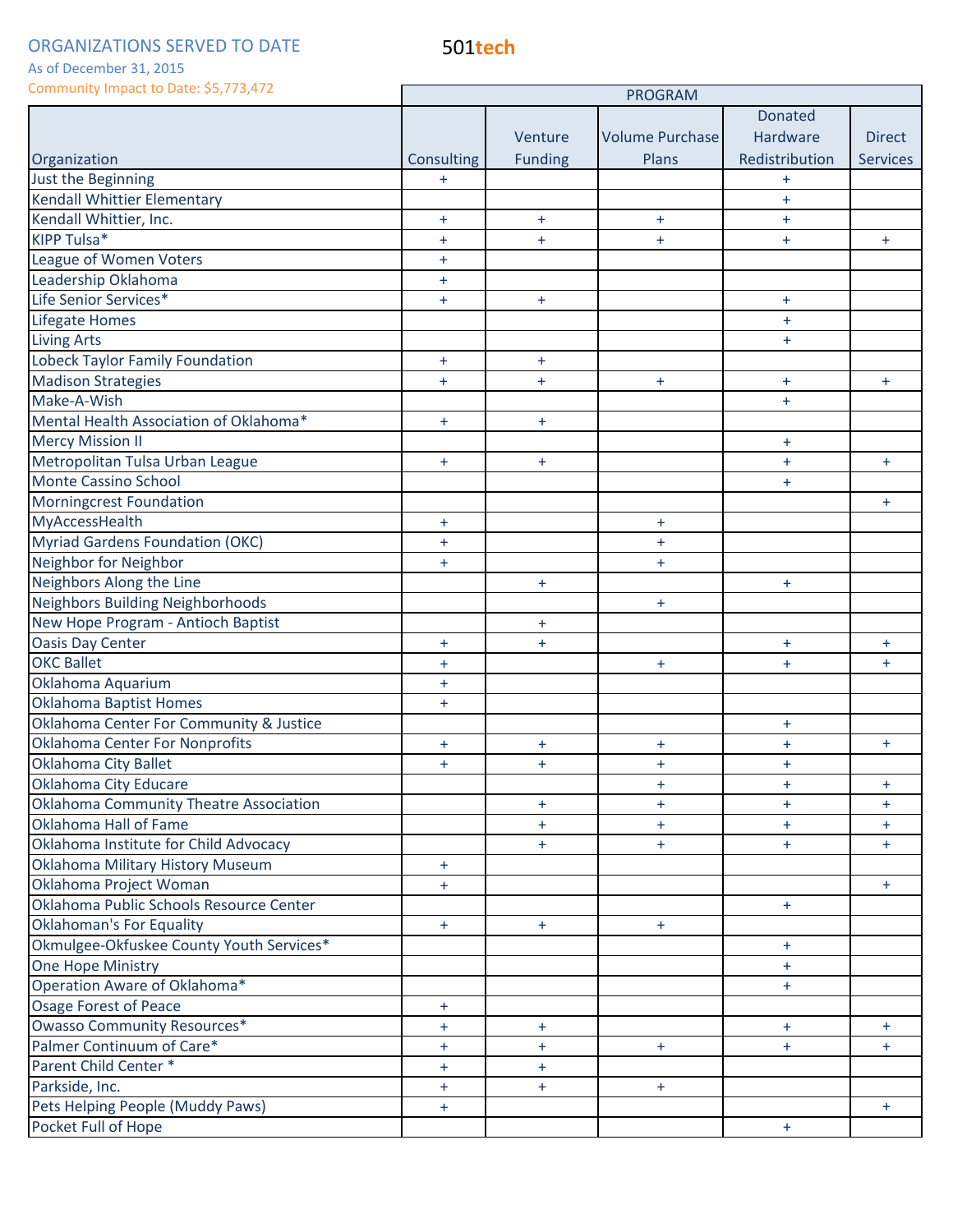501**tech**

#### As of December 31, 2015

| COMMUNICATE COMMUNICATE COMMUNICATE COMMUNICATE | <b>PROGRAM</b> |                |                        |                |                 |
|-------------------------------------------------|----------------|----------------|------------------------|----------------|-----------------|
|                                                 |                |                |                        | <b>Donated</b> |                 |
|                                                 |                | Venture        | <b>Volume Purchase</b> | Hardware       | <b>Direct</b>   |
| Organization                                    | Consulting     | <b>Funding</b> | Plans                  | Redistribution | <b>Services</b> |
| Just the Beginning                              | $+$            |                |                        | $\ddot{}$      |                 |
| Kendall Whittier Elementary                     |                |                |                        | $\ddot{}$      |                 |
| Kendall Whittier, Inc.                          | $+$            | $+$            | $+$                    | $+$            |                 |
| KIPP Tulsa*                                     | $+$            | $+$            | $+$                    | $\ddot{}$      | $+$             |
| League of Women Voters                          | $+$            |                |                        |                |                 |
| Leadership Oklahoma                             | $+$            |                |                        |                |                 |
| Life Senior Services*                           | $+$            | $+$            |                        | $+$            |                 |
| Lifegate Homes                                  |                |                |                        | $\ddot{}$      |                 |
| <b>Living Arts</b>                              |                |                |                        | $+$            |                 |
| Lobeck Taylor Family Foundation                 | $+$            | $+$            |                        |                |                 |
| <b>Madison Strategies</b>                       | $+$            | $+$            | $+$                    | $+$            | $+$             |
| Make-A-Wish                                     |                |                |                        | $\ddot{}$      |                 |
| Mental Health Association of Oklahoma*          | $+$            | $+$            |                        |                |                 |
| <b>Mercy Mission II</b>                         |                |                |                        | $\ddot{}$      |                 |
| Metropolitan Tulsa Urban League                 | $+$            | $+$            |                        | $+$            | $+$             |
| <b>Monte Cassino School</b>                     |                |                |                        | $\ddot{}$      |                 |
| Morningcrest Foundation                         |                |                |                        |                | $+$             |
| MyAccessHealth                                  | $+$            |                | $+$                    |                |                 |
| <b>Myriad Gardens Foundation (OKC)</b>          | $+$            |                | $+$                    |                |                 |
| Neighbor for Neighbor                           | $+$            |                | $+$                    |                |                 |
| Neighbors Along the Line                        |                | $+$            |                        | $+$            |                 |
| <b>Neighbors Building Neighborhoods</b>         |                |                | $+$                    |                |                 |
| New Hope Program - Antioch Baptist              |                | ÷              |                        |                |                 |
| <b>Oasis Day Center</b>                         | $\ddot{}$      | $\ddot{}$      |                        | $\ddot{}$      | $+$             |
| <b>OKC Ballet</b>                               | $+$            |                | $+$                    | $\ddot{}$      | $+$             |
| Oklahoma Aquarium                               | $+$            |                |                        |                |                 |
| <b>Oklahoma Baptist Homes</b>                   | $+$            |                |                        |                |                 |
| Oklahoma Center For Community & Justice         |                |                |                        | $+$            |                 |
| <b>Oklahoma Center For Nonprofits</b>           | $\ddot{}$      | ÷              | $\ddot{}$              | $\ddot{}$      | $+$             |
| <b>Oklahoma City Ballet</b>                     | $+$            | $\ddot{}$      | $\ddot{}$              | $\ddot{}$      |                 |
| Oklahoma City Educare                           |                |                | $+$                    | $+$            | $+$             |
| <b>Oklahoma Community Theatre Association</b>   |                | $\ddot{}$      | $+$                    | $+$            | $+$             |
| Oklahoma Hall of Fame                           |                | $\ddot{}$      | $+$                    | $+$            | $\ddot{}$       |
| Oklahoma Institute for Child Advocacy           |                | $+$            | $+$                    | $+$            | $+$             |
| Oklahoma Military History Museum                | $+$            |                |                        |                |                 |
| Oklahoma Project Woman                          | $+$            |                |                        |                | $+$             |
| Oklahoma Public Schools Resource Center         |                |                |                        | $+$            |                 |
| <b>Oklahoman's For Equality</b>                 | $+$            | $+$            | $+$                    |                |                 |
| Okmulgee-Okfuskee County Youth Services*        |                |                |                        | $+$            |                 |
| One Hope Ministry                               |                |                |                        | $+$            |                 |
| Operation Aware of Oklahoma*                    |                |                |                        | $+$            |                 |
| <b>Osage Forest of Peace</b>                    | $+$            |                |                        |                |                 |
| <b>Owasso Community Resources*</b>              | $+$            | $+$            |                        | $+$            | $+$             |
| Palmer Continuum of Care*                       | $+$            | $+$            | $+$                    | $+$            | $+$             |
| Parent Child Center*                            | $+$            | $+$            |                        |                |                 |
| Parkside, Inc.                                  | $+$            | $+$            | $+$                    |                |                 |
| Pets Helping People (Muddy Paws)                | $+$            |                |                        |                | $+$             |
| Pocket Full of Hope                             |                |                |                        | $+$            |                 |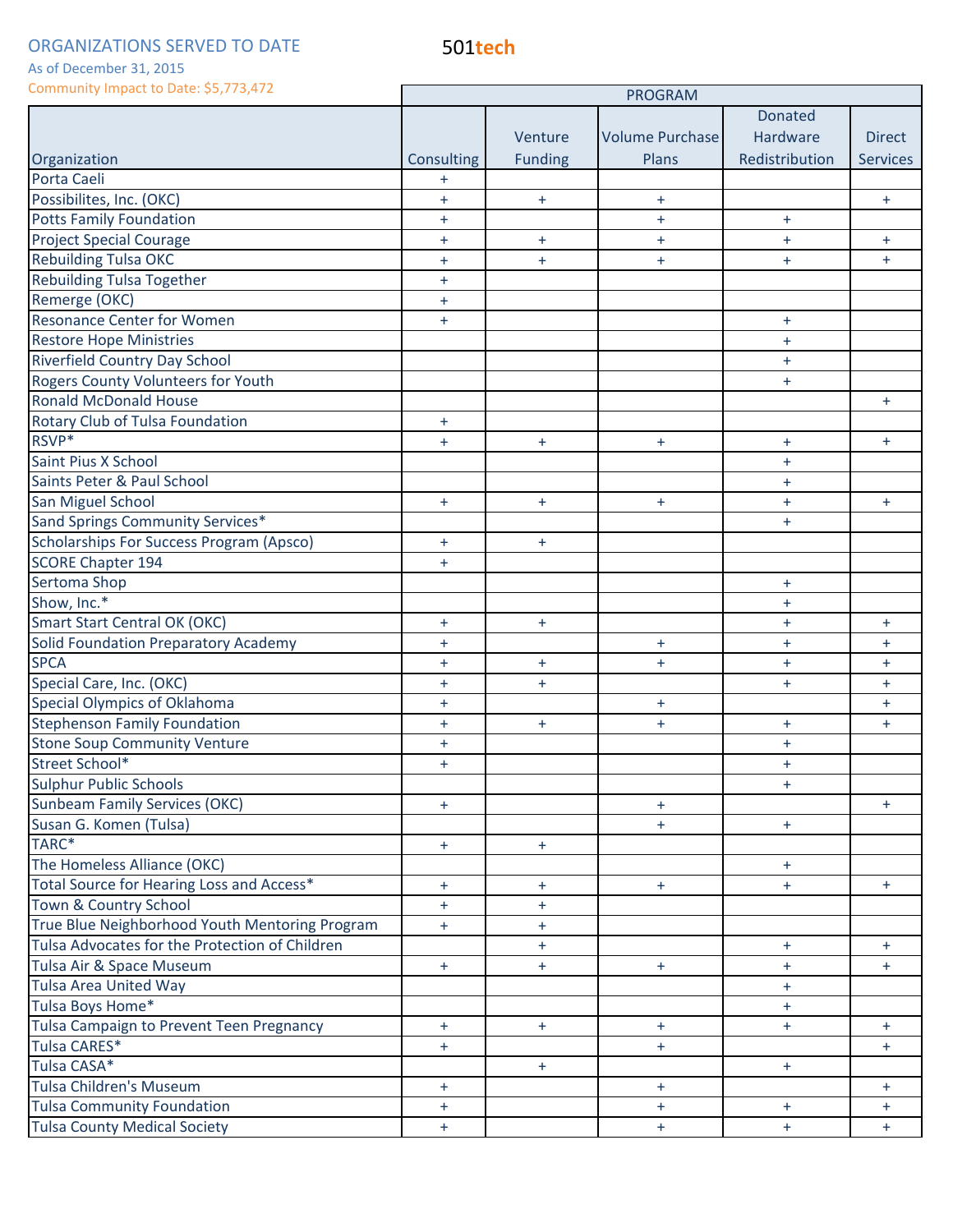501**tech**

Г

### As of December 31, 2015

| Community Impact to Date: \$5,773,472           | <b>PROGRAM</b> |                |                        |                  |                 |
|-------------------------------------------------|----------------|----------------|------------------------|------------------|-----------------|
|                                                 |                |                |                        | <b>Donated</b>   |                 |
|                                                 |                | Venture        | <b>Volume Purchase</b> | Hardware         | <b>Direct</b>   |
| Organization                                    | Consulting     | <b>Funding</b> | Plans                  | Redistribution   | <b>Services</b> |
| Porta Caeli                                     | $\ddot{}$      |                |                        |                  |                 |
| Possibilites, Inc. (OKC)                        | $\ddot{}$      | $+$            | $+$                    |                  | $\ddot{}$       |
| <b>Potts Family Foundation</b>                  | $\ddot{}$      |                | $+$                    | $\ddot{}$        |                 |
| <b>Project Special Courage</b>                  | $+$            | $+$            | $+$                    | $\ddot{}$        | $+$             |
| <b>Rebuilding Tulsa OKC</b>                     | $\ddot{}$      | $\ddot{}$      | $+$                    | $\ddot{}$        | $+$             |
| <b>Rebuilding Tulsa Together</b>                | $+$            |                |                        |                  |                 |
| Remerge (OKC)                                   | $\ddot{}$      |                |                        |                  |                 |
| <b>Resonance Center for Women</b>               | $+$            |                |                        | $\ddot{}$        |                 |
| <b>Restore Hope Ministries</b>                  |                |                |                        | $\ddot{}$        |                 |
| <b>Riverfield Country Day School</b>            |                |                |                        | $\ddot{}$        |                 |
| Rogers County Volunteers for Youth              |                |                |                        | $+$              |                 |
| <b>Ronald McDonald House</b>                    |                |                |                        |                  | $\ddot{}$       |
| Rotary Club of Tulsa Foundation                 | $+$            |                |                        |                  |                 |
| RSVP*                                           | $+$            | $+$            | $+$                    | $\ddot{}$        | $+$             |
| Saint Pius X School                             |                |                |                        | $\ddot{}$        |                 |
| Saints Peter & Paul School                      |                |                |                        | $+$              |                 |
| San Miguel School                               | $+$            | $+$            | $+$                    | $\ddot{}$        | $+$             |
| Sand Springs Community Services*                |                |                |                        | $+$              |                 |
| <b>Scholarships For Success Program (Apsco)</b> | $\ddot{}$      | $\ddot{}$      |                        |                  |                 |
| <b>SCORE Chapter 194</b>                        | $+$            |                |                        |                  |                 |
| Sertoma Shop                                    |                |                |                        | $+$              |                 |
| Show, Inc.*                                     |                |                |                        | $\ddot{}$        |                 |
| <b>Smart Start Central OK (OKC)</b>             | $\ddot{}$      | $+$            |                        | $+$              | $+$             |
| <b>Solid Foundation Preparatory Academy</b>     | $\ddot{}$      |                | $+$                    | $+$              | $\ddot{}$       |
| <b>SPCA</b>                                     | $+$            | $+$            | $+$                    | $\ddot{}$        | $+$             |
| Special Care, Inc. (OKC)                        | $\ddot{}$      | $+$            |                        | $+$              | $+$             |
| Special Olympics of Oklahoma                    | $\ddot{}$      |                | $+$                    |                  | $+$             |
| <b>Stephenson Family Foundation</b>             | $+$            | $+$            | $+$                    | $\ddot{}$        | $+$             |
| <b>Stone Soup Community Venture</b>             | $+$            |                |                        | $\ddot{}$        |                 |
| Street School*                                  | $\ddot{}$      |                |                        | $\color{red}{+}$ |                 |
| <b>Sulphur Public Schools</b>                   |                |                |                        | $\ddot{}$        |                 |
| <b>Sunbeam Family Services (OKC)</b>            | $+$            |                | $+$                    |                  | $+$             |
| Susan G. Komen (Tulsa)                          |                |                | $+$                    | $+$              |                 |
| TARC*                                           | $+$            | $+$            |                        |                  |                 |
| The Homeless Alliance (OKC)                     |                |                |                        | $+$              |                 |
| Total Source for Hearing Loss and Access*       | $+$            | $+$            | $+$                    | $\ddot{}$        | $+$             |
| Town & Country School                           | $+$            | $\ddot{}$      |                        |                  |                 |
| True Blue Neighborhood Youth Mentoring Program  | $+$            | $\ddot{}$      |                        |                  |                 |
| Tulsa Advocates for the Protection of Children  |                | $+$            |                        | $+$              | $+$             |
| Tulsa Air & Space Museum                        | $+$            | $+$            | $+$                    | $+$              | $+$             |
| <b>Tulsa Area United Way</b>                    |                |                |                        | $+$              |                 |
| Tulsa Boys Home*                                |                |                |                        | $+$              |                 |
| Tulsa Campaign to Prevent Teen Pregnancy        | $+$            | $+$            | $+$                    | $+$              | $+$             |
| Tulsa CARES*                                    | $+$            |                | $+$                    |                  | $+$             |
| Tulsa CASA*                                     |                | $+$            |                        | $+$              |                 |
| <b>Tulsa Children's Museum</b>                  | $+$            |                | $+$                    |                  | $+$             |
| <b>Tulsa Community Foundation</b>               | $+$            |                | $+$                    | $+$              | $+$             |
| <b>Tulsa County Medical Society</b>             | $+$            |                | $+$                    | $+$              | $+$             |